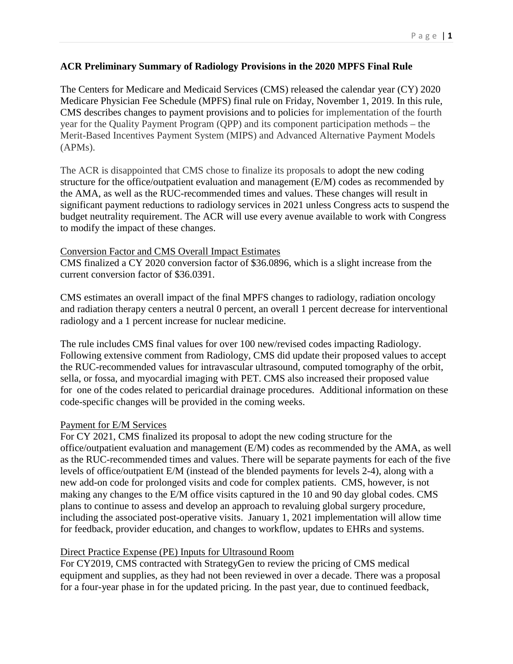# **ACR Preliminary Summary of Radiology Provisions in the 2020 MPFS Final Rule**

The Centers for Medicare and Medicaid Services (CMS) released the calendar year (CY) 2020 Medicare Physician Fee Schedule (MPFS) final rule on Friday, November 1, 2019. In this rule, CMS describes changes to payment provisions and to policies for implementation of the fourth year for the Quality Payment Program (QPP) and its component participation methods – the Merit-Based Incentives Payment System (MIPS) and Advanced Alternative Payment Models (APMs).

The ACR is disappointed that CMS chose to finalize its proposals to adopt the new coding structure for the office/outpatient evaluation and management (E/M) codes as recommended by the AMA, as well as the RUC-recommended times and values. These changes will result in significant payment reductions to radiology services in 2021 unless Congress acts to suspend the budget neutrality requirement. The ACR will use every avenue available to work with Congress to modify the impact of these changes.

# Conversion Factor and CMS Overall Impact Estimates

CMS finalized a CY 2020 conversion factor of \$36.0896, which is a slight increase from the current conversion factor of \$36.0391.

CMS estimates an overall impact of the final MPFS changes to radiology, radiation oncology and radiation therapy centers a neutral 0 percent, an overall 1 percent decrease for interventional radiology and a 1 percent increase for nuclear medicine.

The rule includes CMS final values for over 100 new/revised codes impacting Radiology. Following extensive comment from Radiology, CMS did update their proposed values to accept the RUC-recommended values for intravascular ultrasound, computed tomography of the orbit, sella, or fossa, and myocardial imaging with PET. CMS also increased their proposed value for one of the codes related to pericardial drainage procedures. Additional information on these code-specific changes will be provided in the coming weeks.

# Payment for E/M Services

For CY 2021, CMS finalized its proposal to adopt the new coding structure for the office/outpatient evaluation and management (E/M) codes as recommended by the AMA, as well as the RUC-recommended times and values. There will be separate payments for each of the five levels of office/outpatient E/M (instead of the blended payments for levels 2-4), along with a new add-on code for prolonged visits and code for complex patients. CMS, however, is not making any changes to the E/M office visits captured in the 10 and 90 day global codes. CMS plans to continue to assess and develop an approach to revaluing global surgery procedure, including the associated post-operative visits. January 1, 2021 implementation will allow time for feedback, provider education, and changes to workflow, updates to EHRs and systems.

# Direct Practice Expense (PE) Inputs for Ultrasound Room

For CY2019, CMS contracted with StrategyGen to review the pricing of CMS medical equipment and supplies, as they had not been reviewed in over a decade. There was a proposal for a four-year phase in for the updated pricing. In the past year, due to continued feedback,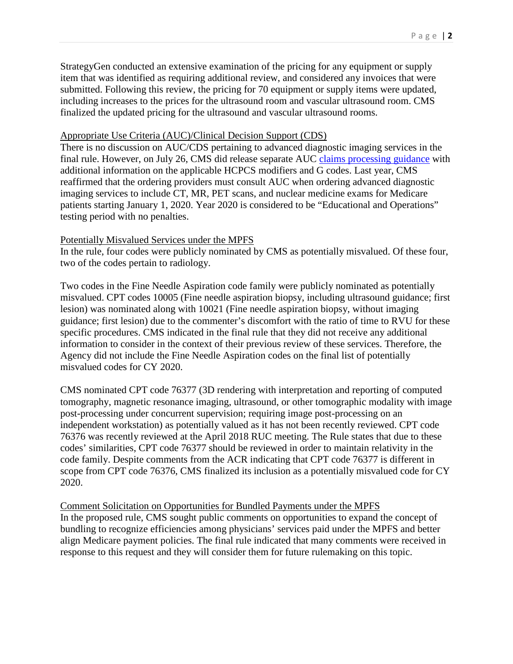StrategyGen conducted an extensive examination of the pricing for any equipment or supply item that was identified as requiring additional review, and considered any invoices that were submitted. Following this review, the pricing for 70 equipment or supply items were updated, including increases to the prices for the ultrasound room and vascular ultrasound room. CMS finalized the updated pricing for the ultrasound and vascular ultrasound rooms.

# Appropriate Use Criteria (AUC)/Clinical Decision Support (CDS)

There is no discussion on AUC/CDS pertaining to advanced diagnostic imaging services in the final rule. However, on July 26, CMS did release separate AUC [claims processing guidance](https://www.cms.gov/Outreach-and-Education/Medicare-Learning-Network-MLN/MLNMattersArticles/Downloads/MM11268.pdf) with additional information on the applicable HCPCS modifiers and G codes. Last year, CMS reaffirmed that the ordering providers must consult AUC when ordering advanced diagnostic imaging services to include CT, MR, PET scans, and nuclear medicine exams for Medicare patients starting January 1, 2020. Year 2020 is considered to be "Educational and Operations" testing period with no penalties.

#### Potentially Misvalued Services under the MPFS

In the rule, four codes were publicly nominated by CMS as potentially misvalued. Of these four, two of the codes pertain to radiology.

Two codes in the Fine Needle Aspiration code family were publicly nominated as potentially misvalued. CPT codes 10005 (Fine needle aspiration biopsy, including ultrasound guidance; first lesion) was nominated along with 10021 (Fine needle aspiration biopsy, without imaging guidance; first lesion) due to the commenter's discomfort with the ratio of time to RVU for these specific procedures. CMS indicated in the final rule that they did not receive any additional information to consider in the context of their previous review of these services. Therefore, the Agency did not include the Fine Needle Aspiration codes on the final list of potentially misvalued codes for CY 2020.

CMS nominated CPT code 76377 (3D rendering with interpretation and reporting of computed tomography, magnetic resonance imaging, ultrasound, or other tomographic modality with image post-processing under concurrent supervision; requiring image post-processing on an independent workstation) as potentially valued as it has not been recently reviewed. CPT code 76376 was recently reviewed at the April 2018 RUC meeting. The Rule states that due to these codes' similarities, CPT code 76377 should be reviewed in order to maintain relativity in the code family. Despite comments from the ACR indicating that CPT code 76377 is different in scope from CPT code 76376, CMS finalized its inclusion as a potentially misvalued code for CY 2020.

#### Comment Solicitation on Opportunities for Bundled Payments under the MPFS

In the proposed rule, CMS sought public comments on opportunities to expand the concept of bundling to recognize efficiencies among physicians' services paid under the MPFS and better align Medicare payment policies. The final rule indicated that many comments were received in response to this request and they will consider them for future rulemaking on this topic.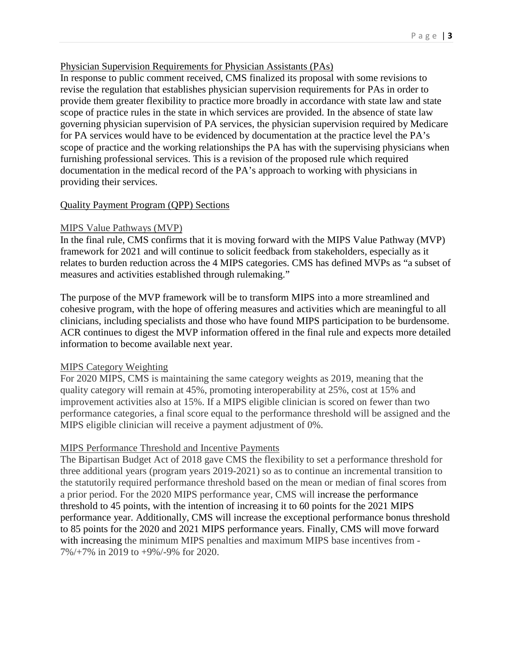### Physician Supervision Requirements for Physician Assistants (PAs)

In response to public comment received, CMS finalized its proposal with some revisions to revise the regulation that establishes physician supervision requirements for PAs in order to provide them greater flexibility to practice more broadly in accordance with state law and state scope of practice rules in the state in which services are provided. In the absence of state law governing physician supervision of PA services, the physician supervision required by Medicare for PA services would have to be evidenced by documentation at the practice level the PA's scope of practice and the working relationships the PA has with the supervising physicians when furnishing professional services. This is a revision of the proposed rule which required documentation in the medical record of the PA's approach to working with physicians in providing their services.

### Quality Payment Program (QPP) Sections

### MIPS Value Pathways (MVP)

In the final rule, CMS confirms that it is moving forward with the MIPS Value Pathway (MVP) framework for 2021 and will continue to solicit feedback from stakeholders, especially as it relates to burden reduction across the 4 MIPS categories. CMS has defined MVPs as "a subset of measures and activities established through rulemaking."

The purpose of the MVP framework will be to transform MIPS into a more streamlined and cohesive program, with the hope of offering measures and activities which are meaningful to all clinicians, including specialists and those who have found MIPS participation to be burdensome. ACR continues to digest the MVP information offered in the final rule and expects more detailed information to become available next year.

#### MIPS Category Weighting

For 2020 MIPS, CMS is maintaining the same category weights as 2019, meaning that the quality category will remain at 45%, promoting interoperability at 25%, cost at 15% and improvement activities also at 15%. If a MIPS eligible clinician is scored on fewer than two performance categories, a final score equal to the performance threshold will be assigned and the MIPS eligible clinician will receive a payment adjustment of 0%.

### MIPS Performance Threshold and Incentive Payments

The Bipartisan Budget Act of 2018 gave CMS the flexibility to set a performance threshold for three additional years (program years 2019-2021) so as to continue an incremental transition to the statutorily required performance threshold based on the mean or median of final scores from a prior period. For the 2020 MIPS performance year, CMS will increase the performance threshold to 45 points, with the intention of increasing it to 60 points for the 2021 MIPS performance year. Additionally, CMS will increase the exceptional performance bonus threshold to 85 points for the 2020 and 2021 MIPS performance years. Finally, CMS will move forward with increasing the minimum MIPS penalties and maximum MIPS base incentives from -7%/+7% in 2019 to +9%/-9% for 2020.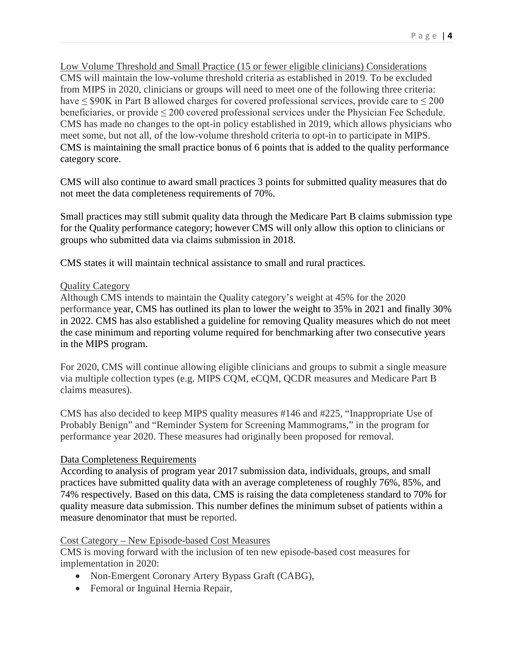Low Volume Threshold and Small Practice (15 or fewer eligible clinicians) Considerations CMS will maintain the low-volume threshold criteria as established in 2019. To be excluded from MIPS in 2020, clinicians or groups will need to meet one of the following three criteria: have  $\leq$  \$90K in Part B allowed charges for covered professional services, provide care to  $\leq$  200 beneficiaries, or provide  $\leq 200$  covered professional services under the Physician Fee Schedule. CMS has made no changes to the opt-in policy established in 2019, which allows physicians who meet some, but not all, of the low-volume threshold criteria to opt-in to participate in MIPS. CMS is maintaining the small practice bonus of 6 points that is added to the quality performance category score.

CMS will also continue to award small practices 3 points for submitted quality measures that do not meet the data completeness requirements of 70%.

Small practices may still submit quality data through the Medicare Part B claims submission type for the Quality performance category; however CMS will only allow this option to clinicians or groups who submitted data via claims submission in 2018.

CMS states it will maintain technical assistance to small and rural practices.

# Quality Category

Although CMS intends to maintain the Quality category's weight at 45% for the 2020 performance year, CMS has outlined its plan to lower the weight to 35% in 2021 and finally 30% in 2022. CMS has also established a guideline for removing Quality measures which do not meet the case minimum and reporting volume required for benchmarking after two consecutive years in the MIPS program.

For 2020, CMS will continue allowing eligible clinicians and groups to submit a single measure via multiple collection types (e.g. MIPS CQM, eCQM, QCDR measures and Medicare Part B claims measures).

CMS has also decided to keep MIPS quality measures #146 and #225, "Inappropriate Use of Probably Benign" and "Reminder System for Screening Mammograms," in the program for performance year 2020. These measures had originally been proposed for removal.

### Data Completeness Requirements

According to analysis of program year 2017 submission data, individuals, groups, and small practices have submitted quality data with an average completeness of roughly 76%, 85%, and 74% respectively. Based on this data, CMS is raising the data completeness standard to 70% for quality measure data submission. This number defines the minimum subset of patients within a measure denominator that must be reported.

### Cost Category – New Episode-based Cost Measures

CMS is moving forward with the inclusion of ten new episode-based cost measures for implementation in 2020:

- Non-Emergent Coronary Artery Bypass Graft (CABG),
- Femoral or Inguinal Hernia Repair,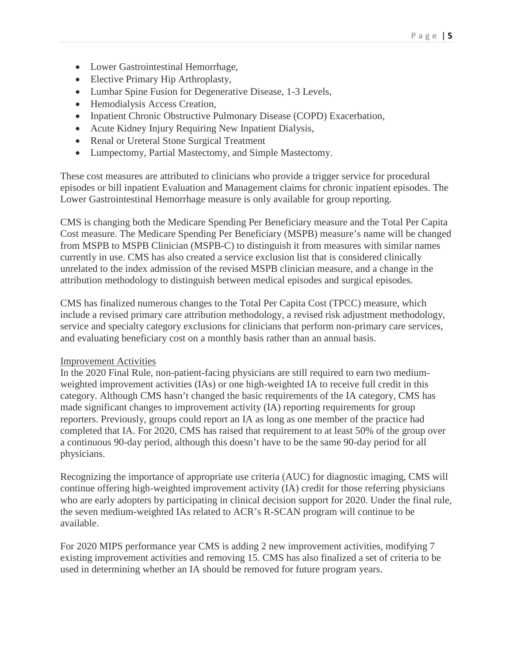- Lower Gastrointestinal Hemorrhage,
- Elective Primary Hip Arthroplasty,
- Lumbar Spine Fusion for Degenerative Disease, 1-3 Levels,
- Hemodialysis Access Creation,
- Inpatient Chronic Obstructive Pulmonary Disease (COPD) Exacerbation,
- Acute Kidney Injury Requiring New Inpatient Dialysis,
- Renal or Ureteral Stone Surgical Treatment
- Lumpectomy, Partial Mastectomy, and Simple Mastectomy.

These cost measures are attributed to clinicians who provide a trigger service for procedural episodes or bill inpatient Evaluation and Management claims for chronic inpatient episodes. The Lower Gastrointestinal Hemorrhage measure is only available for group reporting.

CMS is changing both the Medicare Spending Per Beneficiary measure and the Total Per Capita Cost measure. The Medicare Spending Per Beneficiary (MSPB) measure's name will be changed from MSPB to MSPB Clinician (MSPB-C) to distinguish it from measures with similar names currently in use. CMS has also created a service exclusion list that is considered clinically unrelated to the index admission of the revised MSPB clinician measure, and a change in the attribution methodology to distinguish between medical episodes and surgical episodes.

CMS has finalized numerous changes to the Total Per Capita Cost (TPCC) measure, which include a revised primary care attribution methodology, a revised risk adjustment methodology, service and specialty category exclusions for clinicians that perform non-primary care services, and evaluating beneficiary cost on a monthly basis rather than an annual basis.

### Improvement Activities

In the 2020 Final Rule, non-patient-facing physicians are still required to earn two mediumweighted improvement activities (IAs) or one high-weighted IA to receive full credit in this category. Although CMS hasn't changed the basic requirements of the IA category, CMS has made significant changes to improvement activity (IA) reporting requirements for group reporters. Previously, groups could report an IA as long as one member of the practice had completed that IA. For 2020, CMS has raised that requirement to at least 50% of the group over a continuous 90-day period, although this doesn't have to be the same 90-day period for all physicians.

Recognizing the importance of appropriate use criteria (AUC) for diagnostic imaging, CMS will continue offering high-weighted improvement activity (IA) credit for those referring physicians who are early adopters by participating in clinical decision support for 2020. Under the final rule, the seven medium-weighted IAs related to ACR's R-SCAN program will continue to be available.

For 2020 MIPS performance year CMS is adding 2 new improvement activities, modifying 7 existing improvement activities and removing 15. CMS has also finalized a set of criteria to be used in determining whether an IA should be removed for future program years.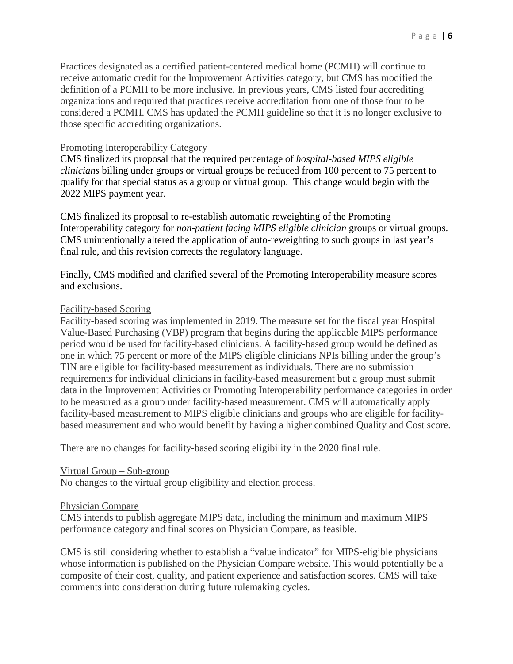Practices designated as a certified patient-centered medical home (PCMH) will continue to receive automatic credit for the Improvement Activities category, but CMS has modified the definition of a PCMH to be more inclusive. In previous years, CMS listed four accrediting organizations and required that practices receive accreditation from one of those four to be considered a PCMH. CMS has updated the PCMH guideline so that it is no longer exclusive to those specific accrediting organizations.

#### Promoting Interoperability Category

CMS finalized its proposal that the required percentage of *hospital-based MIPS eligible clinicians* billing under groups or virtual groups be reduced from 100 percent to 75 percent to qualify for that special status as a group or virtual group. This change would begin with the 2022 MIPS payment year.

CMS finalized its proposal to re-establish automatic reweighting of the Promoting Interoperability category for *non-patient facing MIPS eligible clinician* groups or virtual groups. CMS unintentionally altered the application of auto-reweighting to such groups in last year's final rule, and this revision corrects the regulatory language.

Finally, CMS modified and clarified several of the Promoting Interoperability measure scores and exclusions.

#### Facility-based Scoring

Facility-based scoring was implemented in 2019. The measure set for the fiscal year Hospital Value-Based Purchasing (VBP) program that begins during the applicable MIPS performance period would be used for facility-based clinicians. A facility-based group would be defined as one in which 75 percent or more of the MIPS eligible clinicians NPIs billing under the group's TIN are eligible for facility-based measurement as individuals. There are no submission requirements for individual clinicians in facility-based measurement but a group must submit data in the Improvement Activities or Promoting Interoperability performance categories in order to be measured as a group under facility-based measurement. CMS will automatically apply facility-based measurement to MIPS eligible clinicians and groups who are eligible for facilitybased measurement and who would benefit by having a higher combined Quality and Cost score.

There are no changes for facility-based scoring eligibility in the 2020 final rule.

#### Virtual Group – Sub-group

No changes to the virtual group eligibility and election process.

#### Physician Compare

CMS intends to publish aggregate MIPS data, including the minimum and maximum MIPS performance category and final scores on Physician Compare, as feasible.

CMS is still considering whether to establish a "value indicator" for MIPS-eligible physicians whose information is published on the Physician Compare website. This would potentially be a composite of their cost, quality, and patient experience and satisfaction scores. CMS will take comments into consideration during future rulemaking cycles.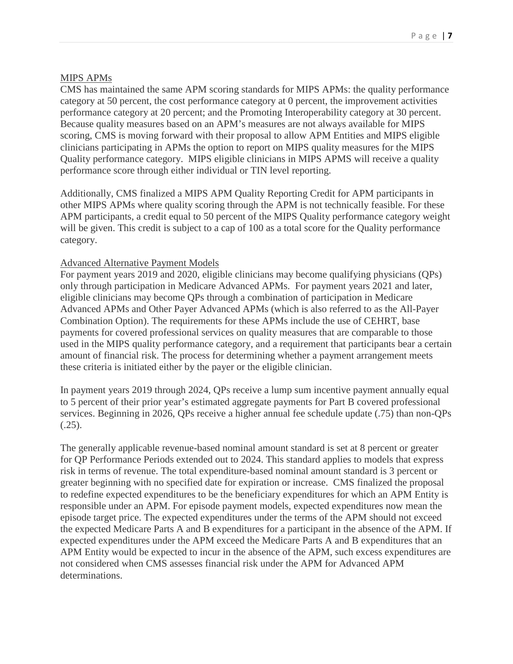# MIPS APMs

CMS has maintained the same APM scoring standards for MIPS APMs: the quality performance category at 50 percent, the cost performance category at 0 percent, the improvement activities performance category at 20 percent; and the Promoting Interoperability category at 30 percent. Because quality measures based on an APM's measures are not always available for MIPS scoring, CMS is moving forward with their proposal to allow APM Entities and MIPS eligible clinicians participating in APMs the option to report on MIPS quality measures for the MIPS Quality performance category. MIPS eligible clinicians in MIPS APMS will receive a quality performance score through either individual or TIN level reporting.

Additionally, CMS finalized a MIPS APM Quality Reporting Credit for APM participants in other MIPS APMs where quality scoring through the APM is not technically feasible. For these APM participants, a credit equal to 50 percent of the MIPS Quality performance category weight will be given. This credit is subject to a cap of 100 as a total score for the Quality performance category.

# Advanced Alternative Payment Models

For payment years 2019 and 2020, eligible clinicians may become qualifying physicians (QPs) only through participation in Medicare Advanced APMs. For payment years 2021 and later, eligible clinicians may become QPs through a combination of participation in Medicare Advanced APMs and Other Payer Advanced APMs (which is also referred to as the All-Payer Combination Option). The requirements for these APMs include the use of CEHRT, base payments for covered professional services on quality measures that are comparable to those used in the MIPS quality performance category, and a requirement that participants bear a certain amount of financial risk. The process for determining whether a payment arrangement meets these criteria is initiated either by the payer or the eligible clinician.

In payment years 2019 through 2024, QPs receive a lump sum incentive payment annually equal to 5 percent of their prior year's estimated aggregate payments for Part B covered professional services. Beginning in 2026, QPs receive a higher annual fee schedule update (.75) than non-QPs (.25).

The generally applicable revenue-based nominal amount standard is set at 8 percent or greater for QP Performance Periods extended out to 2024. This standard applies to models that express risk in terms of revenue. The total expenditure-based nominal amount standard is 3 percent or greater beginning with no specified date for expiration or increase. CMS finalized the proposal to redefine expected expenditures to be the beneficiary expenditures for which an APM Entity is responsible under an APM. For episode payment models, expected expenditures now mean the episode target price. The expected expenditures under the terms of the APM should not exceed the expected Medicare Parts A and B expenditures for a participant in the absence of the APM. If expected expenditures under the APM exceed the Medicare Parts A and B expenditures that an APM Entity would be expected to incur in the absence of the APM, such excess expenditures are not considered when CMS assesses financial risk under the APM for Advanced APM determinations.